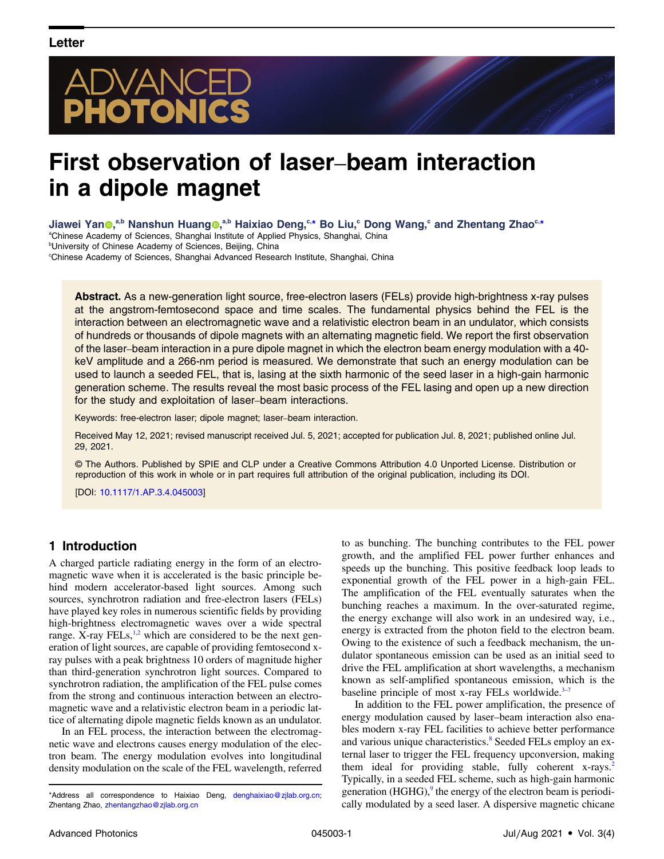# DVANCED<br>**Hotonics**

## First observation of laser–beam interaction in a dipole magnet

Jiawei Yan<sup>®,a,b</sup> Nanshun Huang®,<sup>a,b</sup> Haixiao Deng,<sup>c,\*</sup> Bo Liu,<sup>c</sup> Dong Wang,<sup>c</sup> and Zhentang Zhao<sup>c,\*</sup>

<sup>a</sup>Chinese Academy of Sciences, Shanghai Institute of Applied Physics, Shanghai, China <sup>b</sup>University of Chinese Academy of Sciences, Beijing, China c Chinese Academy of Sciences, Shanghai Advanced Research Institute, Shanghai, China

Abstract. As a new-generation light source, free-electron lasers (FELs) provide high-brightness x-ray pulses at the angstrom-femtosecond space and time scales. The fundamental physics behind the FEL is the interaction between an electromagnetic wave and a relativistic electron beam in an undulator, which consists of hundreds or thousands of dipole magnets with an alternating magnetic field. We report the first observation of the laser–beam interaction in a pure dipole magnet in which the electron beam energy modulation with a 40 keV amplitude and a 266-nm period is measured. We demonstrate that such an energy modulation can be used to launch a seeded FEL, that is, lasing at the sixth harmonic of the seed laser in a high-gain harmonic generation scheme. The results reveal the most basic process of the FEL lasing and open up a new direction for the study and exploitation of laser–beam interactions.

Keywords: free-electron laser; dipole magnet; laser–beam interaction.

Received May 12, 2021; revised manuscript received Jul. 5, 2021; accepted for publication Jul. 8, 2021; published online Jul. 29, 2021.

© The Authors. Published by SPIE and CLP under a Creative Commons Attribution 4.0 Unported License. Distribution or reproduction of this work in whole or in part requires full attribution of the original publication, including its DOI.

[DOI: [10.1117/1.AP.3.4.045003](https://doi.org/10.1117/1.AP.3.4.045003)]

#### 1 Introduction

A charged particle radiating energy in the form of an electromagnetic wave when it is accelerated is the basic principle behind modern accelerator-based light sources. Among such sources, synchrotron radiation and free-electron lasers (FELs) have played key roles in numerous scientific fields by providing high-brightness electromagnetic waves over a wide spectral range. X-ray FELs, $^{1,2}$  $^{1,2}$  $^{1,2}$  $^{1,2}$  $^{1,2}$  which are considered to be the next generation of light sources, are capable of providing femtosecond xray pulses with a peak brightness 10 orders of magnitude higher than third-generation synchrotron light sources. Compared to synchrotron radiation, the amplification of the FEL pulse comes from the strong and continuous interaction between an electromagnetic wave and a relativistic electron beam in a periodic lattice of alternating dipole magnetic fields known as an undulator.

In an FEL process, the interaction between the electromagnetic wave and electrons causes energy modulation of the electron beam. The energy modulation evolves into longitudinal density modulation on the scale of the FEL wavelength, referred

to as bunching. The bunching contributes to the FEL power growth, and the amplified FEL power further enhances and speeds up the bunching. This positive feedback loop leads to exponential growth of the FEL power in a high-gain FEL. The amplification of the FEL eventually saturates when the bunching reaches a maximum. In the over-saturated regime, the energy exchange will also work in an undesired way, i.e., energy is extracted from the photon field to the electron beam. Owing to the existence of such a feedback mechanism, the undulator spontaneous emission can be used as an initial seed to drive the FEL amplification at short wavelengths, a mechanism known as self-amplified spontaneous emission, which is the baseline principle of most x-ray FELs worldwide. $3-7$  $3-7$  $3-7$ 

In addition to the FEL power amplification, the presence of energy modulation caused by laser–beam interaction also enables modern x-ray FEL facilities to achieve better performance and various unique characteristics.<sup>8</sup> Seeded FELs employ an external laser to trigger the FEL frequency upconversion, making them ideal for providing stable, fully coherent x-rays.<sup>2</sup> Typically, in a seeded FEL scheme, such as high-gain harmonic generation  $(HGHG)$ , the energy of the electron beam is periodically modulated by a seed laser. A dispersive magnetic chicane

<sup>\*</sup>Address all correspondence to Haixiao Deng, [denghaixiao@zjlab.org.cn;](mailto:denghaixiao@zjlab.org.cn) Zhentang Zhao, zhentangzhao@zilab.org.cn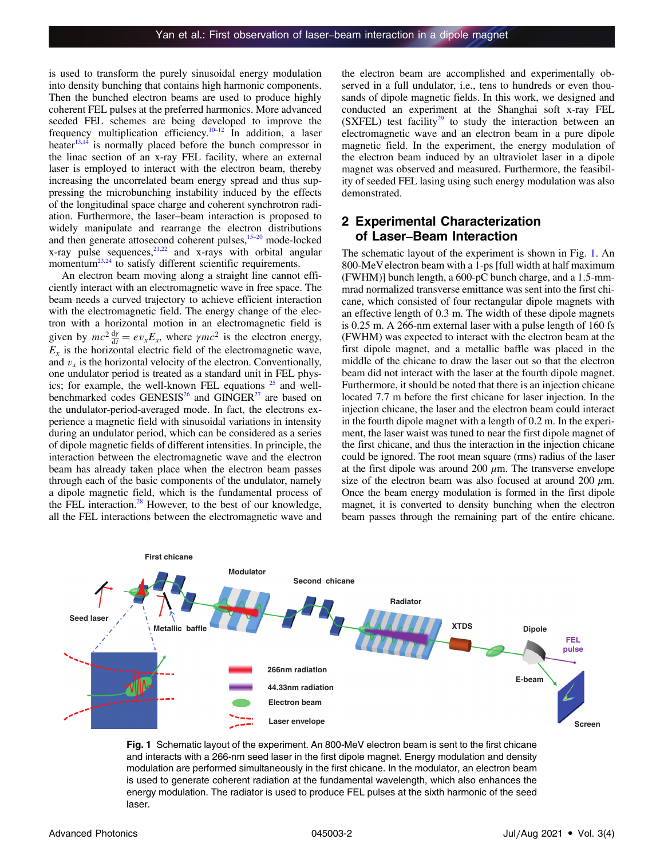is used to transform the purely sinusoidal energy modulation into density bunching that contains high harmonic components. Then the bunched electron beams are used to produce highly coherent FEL pulses at the preferred harmonics. More advanced seeded FEL schemes are being developed to improve the frequency multiplication efficiency.<sup>[10](#page-5-0)-[12](#page-5-0)</sup> In addition, a laser heater $13,14$  is normally placed before the bunch compressor in the linac section of an x-ray FEL facility, where an external laser is employed to interact with the electron beam, thereby increasing the uncorrelated beam energy spread and thus suppressing the microbunching instability induced by the effects of the longitudinal space charge and coherent synchrotron radiation. Furthermore, the laser–beam interaction is proposed to widely manipulate and rearrange the electron distributions and then generate attosecond coherent pulses, $15-20$  $15-20$  $15-20$  mode-locked  $x$ -ray pulse sequences, $2^{1,22}$  $2^{1,22}$  $2^{1,22}$  and  $x$ -rays with orbital angular momentum<sup>23,24</sup> to satisfy different scientific requirements.

An electron beam moving along a straight line cannot efficiently interact with an electromagnetic wave in free space. The beam needs a curved trajectory to achieve efficient interaction with the electromagnetic field. The energy change of the electron with a horizontal motion in an electromagnetic field is given by  $mc^2 \frac{dy}{dt} = ev_x E_x$ , where  $\gamma mc^2$  is the electron energy,  $E<sub>x</sub>$  is the horizontal electric field of the electromagnetic wave, and  $v<sub>x</sub>$  is the horizontal velocity of the electron. Conventionally, one undulator period is treated as a standard unit in FEL physics; for example, the well-known FEL equations  $25$  and well-benchmarked codes GENESIS<sup>26</sup> and GINGER<sup>[27](#page-5-0)</sup> are based on the undulator-period-averaged mode. In fact, the electrons experience a magnetic field with sinusoidal variations in intensity during an undulator period, which can be considered as a series of dipole magnetic fields of different intensities. In principle, the interaction between the electromagnetic wave and the electron beam has already taken place when the electron beam passes through each of the basic components of the undulator, namely a dipole magnetic field, which is the fundamental process of the FEL interaction. $28$  However, to the best of our knowledge, all the FEL interactions between the electromagnetic wave and

the electron beam are accomplished and experimentally observed in a full undulator, i.e., tens to hundreds or even thousands of dipole magnetic fields. In this work, we designed and conducted an experiment at the Shanghai soft x-ray FEL  $(SXFEL)$  test facility<sup>[29](#page-5-0)</sup> to study the interaction between an electromagnetic wave and an electron beam in a pure dipole magnetic field. In the experiment, the energy modulation of the electron beam induced by an ultraviolet laser in a dipole magnet was observed and measured. Furthermore, the feasibility of seeded FEL lasing using such energy modulation was also demonstrated.

### 2 Experimental Characterization Experimental Characteriza<br>of Laser–Beam Interaction

The schematic layout of the experiment is shown in Fig. 1. An 800-MeVelectron beam with a 1-ps [full width at half maximum (FWHM)] bunch length, a 600-pC bunch charge, and a 1.5-mmmrad normalized transverse emittance was sent into the first chicane, which consisted of four rectangular dipole magnets with an effective length of 0.3 m. The width of these dipole magnets is 0.25 m. A 266-nm external laser with a pulse length of 160 fs (FWHM) was expected to interact with the electron beam at the first dipole magnet, and a metallic baffle was placed in the middle of the chicane to draw the laser out so that the electron beam did not interact with the laser at the fourth dipole magnet. Furthermore, it should be noted that there is an injection chicane located 7.7 m before the first chicane for laser injection. In the injection chicane, the laser and the electron beam could interact in the fourth dipole magnet with a length of 0.2 m. In the experiment, the laser waist was tuned to near the first dipole magnet of the first chicane, and thus the interaction in the injection chicane could be ignored. The root mean square (rms) radius of the laser at the first dipole was around 200  $\mu$ m. The transverse envelope size of the electron beam was also focused at around 200  $\mu$ m. Once the beam energy modulation is formed in the first dipole magnet, it is converted to density bunching when the electron beam passes through the remaining part of the entire chicane.



Fig. 1 Schematic layout of the experiment. An 800-MeV electron beam is sent to the first chicane and interacts with a 266-nm seed laser in the first dipole magnet. Energy modulation and density modulation are performed simultaneously in the first chicane. In the modulator, an electron beam is used to generate coherent radiation at the fundamental wavelength, which also enhances the energy modulation. The radiator is used to produce FEL pulses at the sixth harmonic of the seed laser.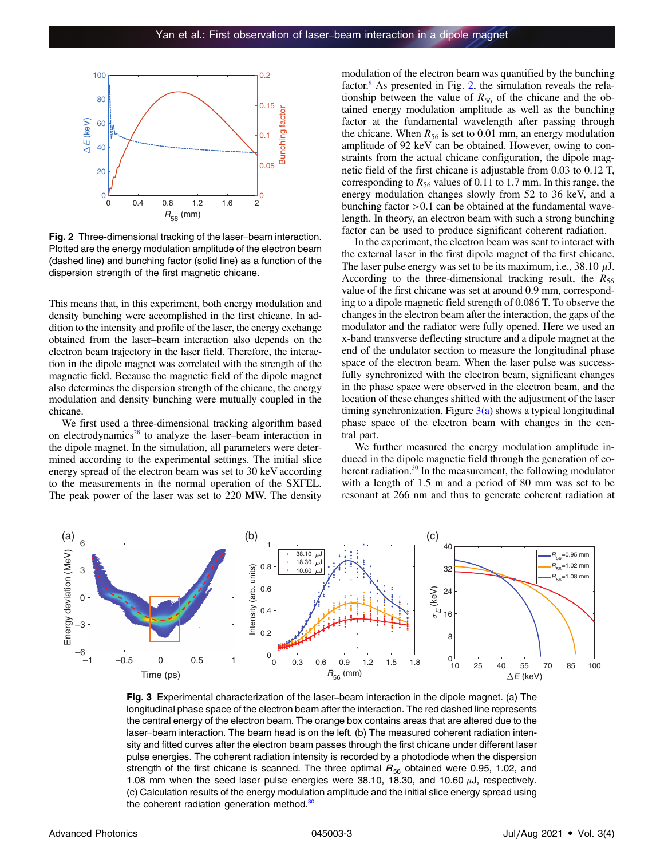<span id="page-2-0"></span>

Fig. 2 Three-dimensional tracking of the laser–beam interaction. Plotted are the energy modulation amplitude of the electron beam (dashed line) and bunching factor (solid line) as a function of the dispersion strength of the first magnetic chicane.

This means that, in this experiment, both energy modulation and density bunching were accomplished in the first chicane. In addition to the intensity and profile of the laser, the energy exchange obtained from the laser–beam interaction also depends on the electron beam trajectory in the laser field. Therefore, the interaction in the dipole magnet was correlated with the strength of the magnetic field. Because the magnetic field of the dipole magnet also determines the dispersion strength of the chicane, the energy modulation and density bunching were mutually coupled in the chicane.

We first used a three-dimensional tracking algorithm based on electrodynamics<sup>[28](#page-5-0)</sup> to analyze the laser–beam interaction in the dipole magnet. In the simulation, all parameters were determined according to the experimental settings. The initial slice energy spread of the electron beam was set to 30 keV according to the measurements in the normal operation of the SXFEL. The peak power of the laser was set to 220 MW. The density modulation of the electron beam was quantified by the bunching factor. $9$  As presented in Fig. 2, the simulation reveals the relationship between the value of  $R_{56}$  of the chicane and the obtained energy modulation amplitude as well as the bunching factor at the fundamental wavelength after passing through the chicane. When  $R_{56}$  is set to 0.01 mm, an energy modulation amplitude of 92 keV can be obtained. However, owing to constraints from the actual chicane configuration, the dipole magnetic field of the first chicane is adjustable from 0.03 to 0.12 T, corresponding to  $R_{56}$  values of 0.11 to 1.7 mm. In this range, the energy modulation changes slowly from 52 to 36 keV, and a bunching factor  $>0.1$  can be obtained at the fundamental wavelength. In theory, an electron beam with such a strong bunching factor can be used to produce significant coherent radiation.

In the experiment, the electron beam was sent to interact with the external laser in the first dipole magnet of the first chicane. The laser pulse energy was set to be its maximum, i.e.,  $38.10 \mu J$ . According to the three-dimensional tracking result, the  $R_{56}$ value of the first chicane was set at around 0.9 mm, corresponding to a dipole magnetic field strength of 0.086 T. To observe the changes in the electron beam after the interaction, the gaps of the modulator and the radiator were fully opened. Here we used an x-band transverse deflecting structure and a dipole magnet at the end of the undulator section to measure the longitudinal phase space of the electron beam. When the laser pulse was successfully synchronized with the electron beam, significant changes in the phase space were observed in the electron beam, and the location of these changes shifted with the adjustment of the laser timing synchronization. Figure  $3(a)$  shows a typical longitudinal phase space of the electron beam with changes in the central part.

We further measured the energy modulation amplitude induced in the dipole magnetic field through the generation of co-herent radiation.<sup>[30](#page-5-0)</sup> In the measurement, the following modulator with a length of 1.5 m and a period of 80 mm was set to be resonant at 266 nm and thus to generate coherent radiation at



Fig. 3 Experimental characterization of the laser–beam interaction in the dipole magnet. (a) The longitudinal phase space of the electron beam after the interaction. The red dashed line represents the central energy of the electron beam. The orange box contains areas that are altered due to the laser–beam interaction. The beam head is on the left. (b) The measured coherent radiation intensity and fitted curves after the electron beam passes through the first chicane under different laser pulse energies. The coherent radiation intensity is recorded by a photodiode when the dispersion strength of the first chicane is scanned. The three optimal  $R_{56}$  obtained were 0.95, 1.02, and 1.08 mm when the seed laser pulse energies were  $38.10$ , 18.30, and 10.60  $\mu$ J, respectively. (c) Calculation results of the energy modulation amplitude and the initial slice energy spread using the coherent radiation generation method. $30$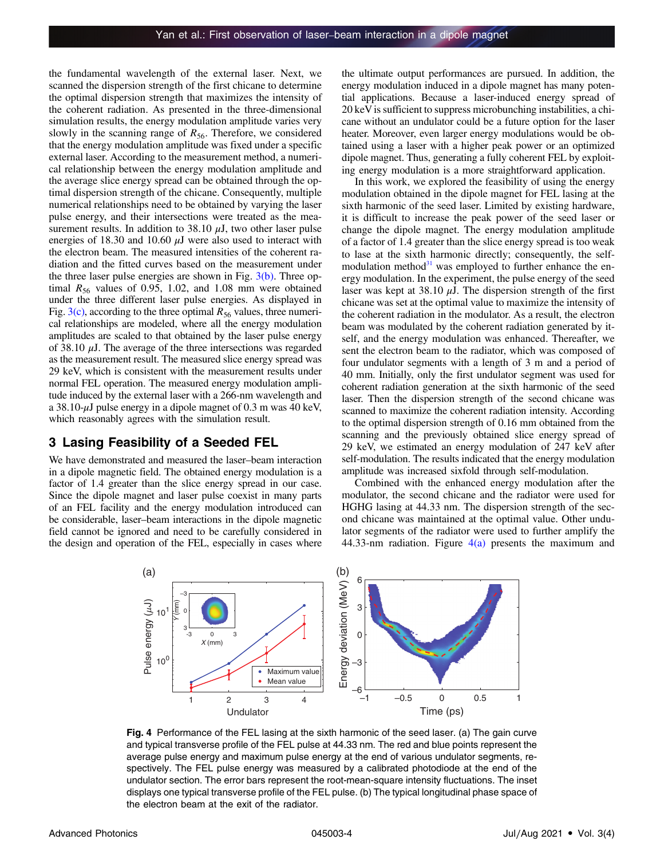<span id="page-3-0"></span>the fundamental wavelength of the external laser. Next, we scanned the dispersion strength of the first chicane to determine the optimal dispersion strength that maximizes the intensity of the coherent radiation. As presented in the three-dimensional simulation results, the energy modulation amplitude varies very slowly in the scanning range of  $R_{56}$ . Therefore, we considered that the energy modulation amplitude was fixed under a specific external laser. According to the measurement method, a numerical relationship between the energy modulation amplitude and the average slice energy spread can be obtained through the optimal dispersion strength of the chicane. Consequently, multiple numerical relationships need to be obtained by varying the laser pulse energy, and their intersections were treated as the measurement results. In addition to 38.10  $\mu$ J, two other laser pulse energies of 18.30 and 10.60  $\mu$ J were also used to interact with the electron beam. The measured intensities of the coherent radiation and the fitted curves based on the measurement under the three laser pulse energies are shown in Fig.  $3(b)$ . Three optimal  $R_{56}$  values of 0.95, 1.02, and 1.08 mm were obtained under the three different laser pulse energies. As displayed in Fig.  $3(c)$ , according to the three optimal  $R_{56}$  values, three numerical relationships are modeled, where all the energy modulation amplitudes are scaled to that obtained by the laser pulse energy of 38.10  $\mu$ J. The average of the three intersections was regarded as the measurement result. The measured slice energy spread was 29 keV, which is consistent with the measurement results under normal FEL operation. The measured energy modulation amplitude induced by the external laser with a 266-nm wavelength and a 38.10- $\mu$ J pulse energy in a dipole magnet of 0.3 m was 40 keV, which reasonably agrees with the simulation result.

#### 3 Lasing Feasibility of a Seeded FEL

We have demonstrated and measured the laser–beam interaction in a dipole magnetic field. The obtained energy modulation is a factor of 1.4 greater than the slice energy spread in our case. Since the dipole magnet and laser pulse coexist in many parts of an FEL facility and the energy modulation introduced can be considerable, laser–beam interactions in the dipole magnetic field cannot be ignored and need to be carefully considered in the design and operation of the FEL, especially in cases where

the ultimate output performances are pursued. In addition, the energy modulation induced in a dipole magnet has many potential applications. Because a laser-induced energy spread of 20 keV is sufficient to suppress microbunching instabilities, a chicane without an undulator could be a future option for the laser heater. Moreover, even larger energy modulations would be obtained using a laser with a higher peak power or an optimized dipole magnet. Thus, generating a fully coherent FEL by exploiting energy modulation is a more straightforward application.

In this work, we explored the feasibility of using the energy modulation obtained in the dipole magnet for FEL lasing at the sixth harmonic of the seed laser. Limited by existing hardware, it is difficult to increase the peak power of the seed laser or change the dipole magnet. The energy modulation amplitude of a factor of 1.4 greater than the slice energy spread is too weak to lase at the sixth harmonic directly; consequently, the selfmodulation method $31$  was employed to further enhance the energy modulation. In the experiment, the pulse energy of the seed laser was kept at 38.10  $\mu$ J. The dispersion strength of the first chicane was set at the optimal value to maximize the intensity of the coherent radiation in the modulator. As a result, the electron beam was modulated by the coherent radiation generated by itself, and the energy modulation was enhanced. Thereafter, we sent the electron beam to the radiator, which was composed of four undulator segments with a length of 3 m and a period of 40 mm. Initially, only the first undulator segment was used for coherent radiation generation at the sixth harmonic of the seed laser. Then the dispersion strength of the second chicane was scanned to maximize the coherent radiation intensity. According to the optimal dispersion strength of 0.16 mm obtained from the scanning and the previously obtained slice energy spread of 29 keV, we estimated an energy modulation of 247 keV after self-modulation. The results indicated that the energy modulation amplitude was increased sixfold through self-modulation.

Combined with the enhanced energy modulation after the modulator, the second chicane and the radiator were used for HGHG lasing at 44.33 nm. The dispersion strength of the second chicane was maintained at the optimal value. Other undulator segments of the radiator were used to further amplify the 44.33-nm radiation. Figure  $4(a)$  presents the maximum and



Fig. 4 Performance of the FEL lasing at the sixth harmonic of the seed laser. (a) The gain curve and typical transverse profile of the FEL pulse at 44.33 nm. The red and blue points represent the average pulse energy and maximum pulse energy at the end of various undulator segments, respectively. The FEL pulse energy was measured by a calibrated photodiode at the end of the undulator section. The error bars represent the root-mean-square intensity fluctuations. The inset displays one typical transverse profile of the FEL pulse. (b) The typical longitudinal phase space of the electron beam at the exit of the radiator.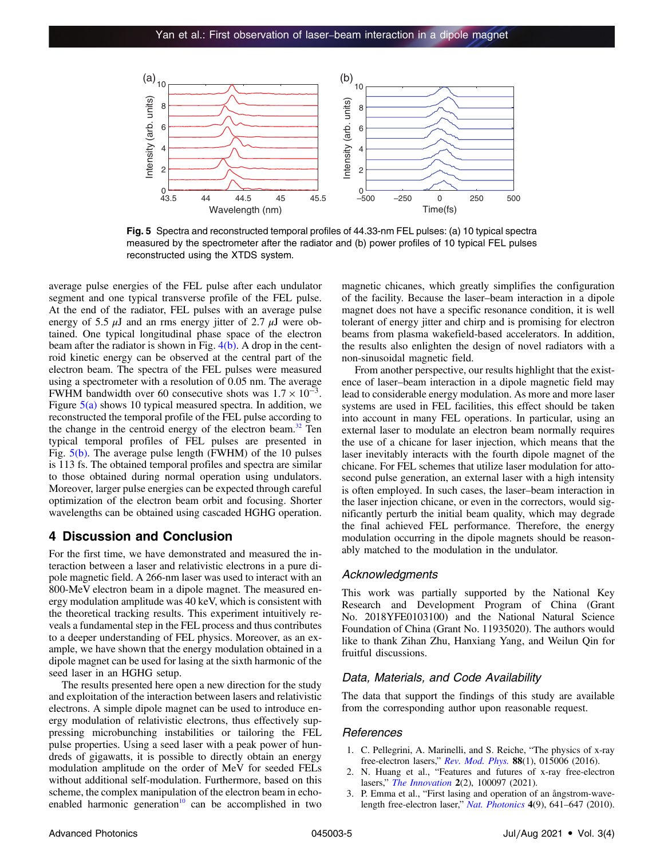<span id="page-4-0"></span>

Fig. 5 Spectra and reconstructed temporal profiles of 44.33-nm FEL pulses: (a) 10 typical spectra measured by the spectrometer after the radiator and (b) power profiles of 10 typical FEL pulses reconstructed using the XTDS system.

average pulse energies of the FEL pulse after each undulator segment and one typical transverse profile of the FEL pulse. At the end of the radiator, FEL pulses with an average pulse energy of 5.5  $\mu$ J and an rms energy jitter of 2.7  $\mu$ J were obtained. One typical longitudinal phase space of the electron beam after the radiator is shown in Fig.  $4(b)$ . A drop in the centroid kinetic energy can be observed at the central part of the electron beam. The spectra of the FEL pulses were measured using a spectrometer with a resolution of 0.05 nm. The average FWHM bandwidth over 60 consecutive shots was  $1.7 \times 10^{-3}$ . Figure  $5(a)$  shows 10 typical measured spectra. In addition, we reconstructed the temporal profile of the FEL pulse according to the change in the centroid energy of the electron beam.<sup>[32](#page-5-0)</sup> Ten typical temporal profiles of FEL pulses are presented in Fig. 5(b). The average pulse length (FWHM) of the 10 pulses is 113 fs. The obtained temporal profiles and spectra are similar to those obtained during normal operation using undulators. Moreover, larger pulse energies can be expected through careful optimization of the electron beam orbit and focusing. Shorter wavelengths can be obtained using cascaded HGHG operation.

#### 4 Discussion and Conclusion

For the first time, we have demonstrated and measured the interaction between a laser and relativistic electrons in a pure dipole magnetic field. A 266-nm laser was used to interact with an 800-MeV electron beam in a dipole magnet. The measured energy modulation amplitude was 40 keV, which is consistent with the theoretical tracking results. This experiment intuitively reveals a fundamental step in the FEL process and thus contributes to a deeper understanding of FEL physics. Moreover, as an example, we have shown that the energy modulation obtained in a dipole magnet can be used for lasing at the sixth harmonic of the seed laser in an HGHG setup.

The results presented here open a new direction for the study and exploitation of the interaction between lasers and relativistic electrons. A simple dipole magnet can be used to introduce energy modulation of relativistic electrons, thus effectively suppressing microbunching instabilities or tailoring the FEL pulse properties. Using a seed laser with a peak power of hundreds of gigawatts, it is possible to directly obtain an energy modulation amplitude on the order of MeV for seeded FELs without additional self-modulation. Furthermore, based on this scheme, the complex manipulation of the electron beam in echoenabled harmonic generation<sup>10</sup> can be accomplished in two

magnetic chicanes, which greatly simplifies the configuration of the facility. Because the laser–beam interaction in a dipole magnet does not have a specific resonance condition, it is well tolerant of energy jitter and chirp and is promising for electron beams from plasma wakefield-based accelerators. In addition, the results also enlighten the design of novel radiators with a non-sinusoidal magnetic field.

From another perspective, our results highlight that the existence of laser–beam interaction in a dipole magnetic field may lead to considerable energy modulation. As more and more laser systems are used in FEL facilities, this effect should be taken into account in many FEL operations. In particular, using an external laser to modulate an electron beam normally requires the use of a chicane for laser injection, which means that the laser inevitably interacts with the fourth dipole magnet of the chicane. For FEL schemes that utilize laser modulation for attosecond pulse generation, an external laser with a high intensity is often employed. In such cases, the laser–beam interaction in the laser injection chicane, or even in the correctors, would significantly perturb the initial beam quality, which may degrade the final achieved FEL performance. Therefore, the energy modulation occurring in the dipole magnets should be reasonably matched to the modulation in the undulator.

#### Acknowledgments

This work was partially supported by the National Key Research and Development Program of China (Grant No. 2018YFE0103100) and the National Natural Science Foundation of China (Grant No. 11935020). The authors would like to thank Zihan Zhu, Hanxiang Yang, and Weilun Qin for fruitful discussions.

#### Data, Materials, and Code Availability

The data that support the findings of this study are available from the corresponding author upon reasonable request.

#### References

- 1. C. Pellegrini, A. Marinelli, and S. Reiche, "The physics of x-ray free-electron lasers," *[Rev. Mod. Phys.](https://doi.org/10.1103/RevModPhys.88.015006)* **88**(1), 015006 (2016).
- 2. N. Huang et al., "Features and futures of x-ray free-electron lasers," [The Innovation](https://doi.org/10.1016/j.xinn.2021.100097) 2(2), 100097 (2021).
- 3. P. Emma et al., "First lasing and operation of an ångstrom-wavelength free-electron laser," [Nat. Photonics](https://doi.org/10.1038/nphoton.2010.176) 4(9), 641–647 (2010).